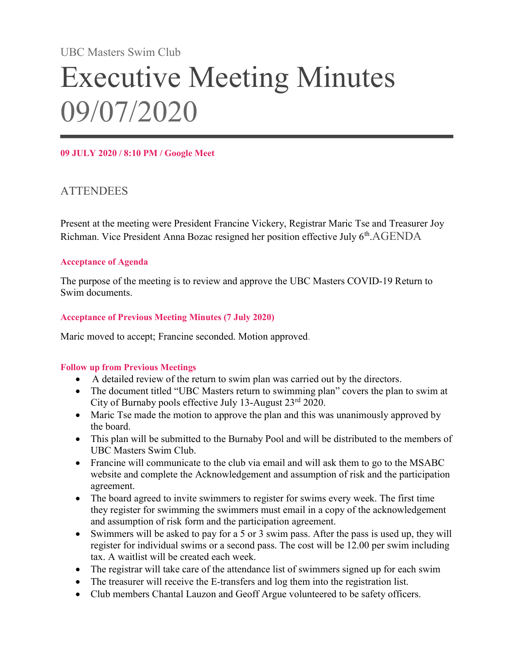UBC Masters Swim Club

# Executive Meeting Minutes 09/07/2020

#### 09 JULY 2020 / 8:10 PM / Google Meet

## **ATTENDEES**

Present at the meeting were President Francine Vickery, Registrar Maric Tse and Treasurer Joy Richman. Vice President Anna Bozac resigned her position effective July 6<sup>th</sup>.AGENDA

#### Acceptance of Agenda

The purpose of the meeting is to review and approve the UBC Masters COVID-19 Return to Swim documents.

#### Acceptance of Previous Meeting Minutes (7 July 2020)

Maric moved to accept; Francine seconded. Motion approved.

#### Follow up from Previous Meetings

- A detailed review of the return to swim plan was carried out by the directors.
- The document titled "UBC Masters return to swimming plan" covers the plan to swim at City of Burnaby pools effective July 13-August 23rd 2020.
- Maric Tse made the motion to approve the plan and this was unanimously approved by the board.
- This plan will be submitted to the Burnaby Pool and will be distributed to the members of UBC Masters Swim Club.
- Francine will communicate to the club via email and will ask them to go to the MSABC website and complete the Acknowledgement and assumption of risk and the participation agreement.
- The board agreed to invite swimmers to register for swims every week. The first time they register for swimming the swimmers must email in a copy of the acknowledgement and assumption of risk form and the participation agreement.
- Swimmers will be asked to pay for a 5 or 3 swim pass. After the pass is used up, they will register for individual swims or a second pass. The cost will be 12.00 per swim including tax. A waitlist will be created each week.
- The registrar will take care of the attendance list of swimmers signed up for each swim
- The treasurer will receive the E-transfers and log them into the registration list.
- Club members Chantal Lauzon and Geoff Argue volunteered to be safety officers.